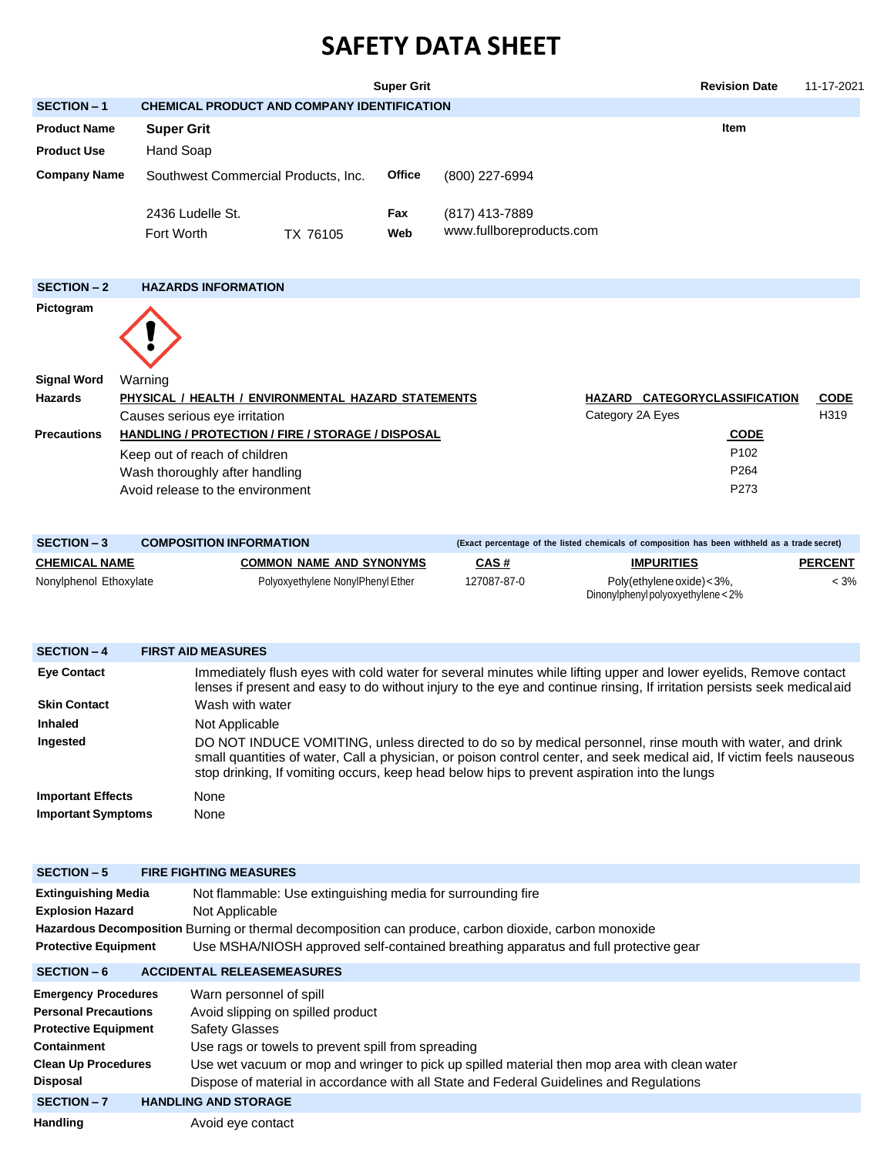## **SAFETY DATA SHEET**

|                     |                                                                                      |          | <b>Revision Date</b> | 11-17-2021                                 |  |                               |                     |  |  |  |
|---------------------|--------------------------------------------------------------------------------------|----------|----------------------|--------------------------------------------|--|-------------------------------|---------------------|--|--|--|
| <b>SECTION - 1</b>  | <b>CHEMICAL PRODUCT AND COMPANY IDENTIFICATION</b>                                   |          |                      |                                            |  |                               |                     |  |  |  |
| <b>Product Name</b> | <b>Item</b><br><b>Super Grit</b>                                                     |          |                      |                                            |  |                               |                     |  |  |  |
| <b>Product Use</b>  | Hand Soap                                                                            |          |                      |                                            |  |                               |                     |  |  |  |
| <b>Company Name</b> | Southwest Commercial Products, Inc.                                                  |          | <b>Office</b>        | (800) 227-6994                             |  |                               |                     |  |  |  |
|                     | 2436 Ludelle St.<br>Fort Worth                                                       | TX 76105 | Fax<br>Web           | (817) 413-7889<br>www.fullboreproducts.com |  |                               |                     |  |  |  |
| <b>SECTION - 2</b>  | <b>HAZARDS INFORMATION</b>                                                           |          |                      |                                            |  |                               |                     |  |  |  |
| Pictogram           |                                                                                      |          |                      |                                            |  |                               |                     |  |  |  |
| <b>Signal Word</b>  | Warning                                                                              |          |                      |                                            |  |                               |                     |  |  |  |
| <b>Hazards</b>      | PHYSICAL / HEALTH / ENVIRONMENTAL HAZARD STATEMENTS<br>Causes serious eye irritation |          |                      |                                            |  | HAZARD CATEGORYCLASSIFICATION | <b>CODE</b><br>H319 |  |  |  |
| <b>Precautions</b>  | HANDLING / PROTECTION / FIRE / STORAGE / DISPOSAL                                    |          |                      |                                            |  | <b>CODE</b>                   |                     |  |  |  |
|                     | Keep out of reach of children                                                        |          |                      |                                            |  | P <sub>102</sub>              |                     |  |  |  |
|                     | Wash thoroughly after handling                                                       |          |                      |                                            |  | P264                          |                     |  |  |  |
|                     | Avoid release to the environment                                                     |          |                      |                                            |  | P273                          |                     |  |  |  |

| $SECTION - 3$          | <b>COMPOSITION INFORMATION</b>    | (Exact percentage of the listed chemicals of composition has been withheld as a trade secret) |                                                                  |                |  |  |  |
|------------------------|-----------------------------------|-----------------------------------------------------------------------------------------------|------------------------------------------------------------------|----------------|--|--|--|
| <b>CHEMICAL NAME</b>   | <b>COMMON NAME AND SYNONYMS</b>   | CAS#                                                                                          | <b>IMPURITIES</b>                                                | <b>PERCENT</b> |  |  |  |
| Nonylphenol Ethoxylate | Polyoxyethylene NonylPhenyl Ether | 127087-87-0                                                                                   | Poly(ethylene oxide) < 3%,<br>Dinonylphenyl polyoxyethylene < 2% | < 3%           |  |  |  |

| <b>SECTION - 4</b>                                    | <b>FIRST AID MEASURES</b>                                                                                                                                                                                                                                                                                                         |  |  |  |  |  |  |  |  |
|-------------------------------------------------------|-----------------------------------------------------------------------------------------------------------------------------------------------------------------------------------------------------------------------------------------------------------------------------------------------------------------------------------|--|--|--|--|--|--|--|--|
| <b>Eye Contact</b>                                    | Immediately flush eyes with cold water for several minutes while lifting upper and lower eyelids, Remove contact<br>lenses if present and easy to do without injury to the eye and continue rinsing, If irritation persists seek medicalaid                                                                                       |  |  |  |  |  |  |  |  |
| <b>Skin Contact</b>                                   | Wash with water                                                                                                                                                                                                                                                                                                                   |  |  |  |  |  |  |  |  |
| <b>Inhaled</b>                                        | Not Applicable                                                                                                                                                                                                                                                                                                                    |  |  |  |  |  |  |  |  |
| Ingested                                              | DO NOT INDUCE VOMITING, unless directed to do so by medical personnel, rinse mouth with water, and drink<br>small quantities of water, Call a physician, or poison control center, and seek medical aid, If victim feels nauseous<br>stop drinking, If vomiting occurs, keep head below hips to prevent aspiration into the lungs |  |  |  |  |  |  |  |  |
| <b>Important Effects</b><br><b>Important Symptoms</b> | None<br>None                                                                                                                                                                                                                                                                                                                      |  |  |  |  |  |  |  |  |

| <b>SECTION - 5</b>                                                                                                                                        | <b>FIRE FIGHTING MEASURES</b>                                                                                                                                                                                                                                                                                                   |
|-----------------------------------------------------------------------------------------------------------------------------------------------------------|---------------------------------------------------------------------------------------------------------------------------------------------------------------------------------------------------------------------------------------------------------------------------------------------------------------------------------|
| <b>Extinguishing Media</b><br><b>Explosion Hazard</b><br><b>Protective Equipment</b>                                                                      | Not flammable: Use extinguishing media for surrounding fire<br>Not Applicable<br>Hazardous Decomposition Burning or thermal decomposition can produce, carbon dioxide, carbon monoxide<br>Use MSHA/NIOSH approved self-contained breathing apparatus and full protective gear                                                   |
| <b>SECTION - 6</b>                                                                                                                                        | <b>ACCIDENTAL RELEASEMEASURES</b>                                                                                                                                                                                                                                                                                               |
| <b>Emergency Procedures</b><br><b>Personal Precautions</b><br><b>Protective Equipment</b><br>Containment<br><b>Clean Up Procedures</b><br><b>Disposal</b> | Warn personnel of spill<br>Avoid slipping on spilled product<br>Safety Glasses<br>Use rags or towels to prevent spill from spreading<br>Use wet vacuum or mop and wringer to pick up spilled material then mop area with clean water<br>Dispose of material in accordance with all State and Federal Guidelines and Regulations |
| <b>SECTION - 7</b>                                                                                                                                        | <b>HANDLING AND STORAGE</b>                                                                                                                                                                                                                                                                                                     |
| Handling                                                                                                                                                  | Avoid eye contact                                                                                                                                                                                                                                                                                                               |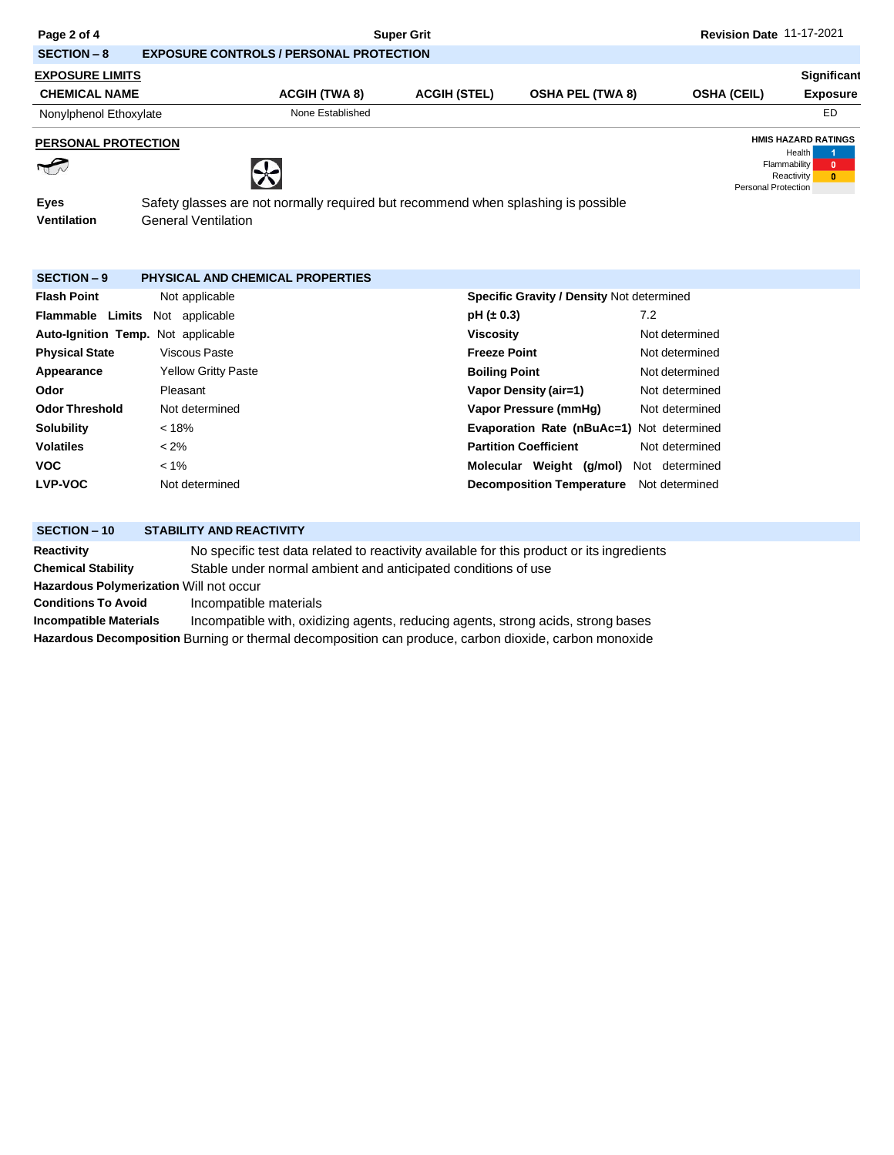| Page 2 of 4                |                                                                                                                 |                                                                                           | <b>Super Grit</b>    |                                           |                | Revision Date 11-17-2021   |                                                                  |  |  |  |  |
|----------------------------|-----------------------------------------------------------------------------------------------------------------|-------------------------------------------------------------------------------------------|----------------------|-------------------------------------------|----------------|----------------------------|------------------------------------------------------------------|--|--|--|--|
| <b>SECTION-8</b>           |                                                                                                                 | <b>EXPOSURE CONTROLS / PERSONAL PROTECTION</b>                                            |                      |                                           |                |                            |                                                                  |  |  |  |  |
| <b>EXPOSURE LIMITS</b>     |                                                                                                                 |                                                                                           |                      |                                           |                |                            | Significant                                                      |  |  |  |  |
| <b>CHEMICAL NAME</b>       |                                                                                                                 | <b>ACGIH (TWA 8)</b>                                                                      | <b>ACGIH (STEL)</b>  | <b>OSHA PEL (TWA 8)</b>                   |                | <b>OSHA (CEIL)</b>         | <b>Exposure</b>                                                  |  |  |  |  |
| Nonylphenol Ethoxylate     |                                                                                                                 | None Established                                                                          |                      |                                           |                |                            | ED                                                               |  |  |  |  |
| <b>PERSONAL PROTECTION</b> |                                                                                                                 |                                                                                           |                      |                                           |                |                            | <b>HMIS HAZARD RATINGS</b>                                       |  |  |  |  |
|                            |                                                                                                                 |                                                                                           |                      |                                           |                | <b>Personal Protection</b> | Health<br>Flammability<br>$\mathbf{0}$<br>Reactivity<br>$\bf{0}$ |  |  |  |  |
| <b>Eyes</b><br>Ventilation | Safety glasses are not normally required but recommend when splashing is possible<br><b>General Ventilation</b> |                                                                                           |                      |                                           |                |                            |                                                                  |  |  |  |  |
| <b>SECTION - 9</b>         | <b>PHYSICAL AND CHEMICAL PROPERTIES</b>                                                                         |                                                                                           |                      |                                           |                |                            |                                                                  |  |  |  |  |
| <b>Flash Point</b>         | Not applicable                                                                                                  |                                                                                           |                      | Specific Gravity / Density Not determined |                |                            |                                                                  |  |  |  |  |
| <b>Flammable Limits</b>    | Not applicable                                                                                                  |                                                                                           | $pH (\pm 0.3)$       |                                           | 7.2            |                            |                                                                  |  |  |  |  |
|                            | Auto-Ignition Temp. Not applicable                                                                              |                                                                                           | <b>Viscosity</b>     |                                           | Not determined |                            |                                                                  |  |  |  |  |
| <b>Physical State</b>      | <b>Viscous Paste</b>                                                                                            |                                                                                           | <b>Freeze Point</b>  |                                           | Not determined |                            |                                                                  |  |  |  |  |
| Appearance                 | <b>Yellow Gritty Paste</b>                                                                                      |                                                                                           | <b>Boiling Point</b> |                                           | Not determined |                            |                                                                  |  |  |  |  |
| Odor                       | Pleasant                                                                                                        |                                                                                           |                      | <b>Vapor Density (air=1)</b>              | Not determined |                            |                                                                  |  |  |  |  |
| <b>Odor Threshold</b>      | Not determined                                                                                                  |                                                                                           |                      | Vapor Pressure (mmHg)                     | Not determined |                            |                                                                  |  |  |  |  |
| <b>Solubility</b>          | < 18%                                                                                                           |                                                                                           |                      | Evaporation Rate (nBuAc=1) Not determined |                |                            |                                                                  |  |  |  |  |
| <b>Volatiles</b>           | $< 2\%$                                                                                                         |                                                                                           |                      | <b>Partition Coefficient</b>              | Not determined |                            |                                                                  |  |  |  |  |
| <b>VOC</b>                 | $< 1\%$                                                                                                         |                                                                                           |                      | Molecular Weight (g/mol)                  | Not determined |                            |                                                                  |  |  |  |  |
| <b>LVP-VOC</b>             | Not determined                                                                                                  |                                                                                           |                      | <b>Decomposition Temperature</b>          | Not determined |                            |                                                                  |  |  |  |  |
| <b>SECTION-10</b>          | <b>STABILITY AND REACTIVITY</b>                                                                                 |                                                                                           |                      |                                           |                |                            |                                                                  |  |  |  |  |
| <b>Reactivity</b>          |                                                                                                                 | No specific test data related to reactivity available for this product or its ingredients |                      |                                           |                |                            |                                                                  |  |  |  |  |
| <b>Chemical Stability</b>  |                                                                                                                 | Stable under normal ambient and anticipated conditions of use                             |                      |                                           |                |                            |                                                                  |  |  |  |  |

**Hazardous Polymerization** Will not occur

**Conditions To Avoid** Incompatible materials

**Incompatible Materials** Incompatible with, oxidizing agents, reducing agents, strong acids, strong bases **Hazardous Decomposition** Burning or thermal decomposition can produce, carbon dioxide, carbon monoxide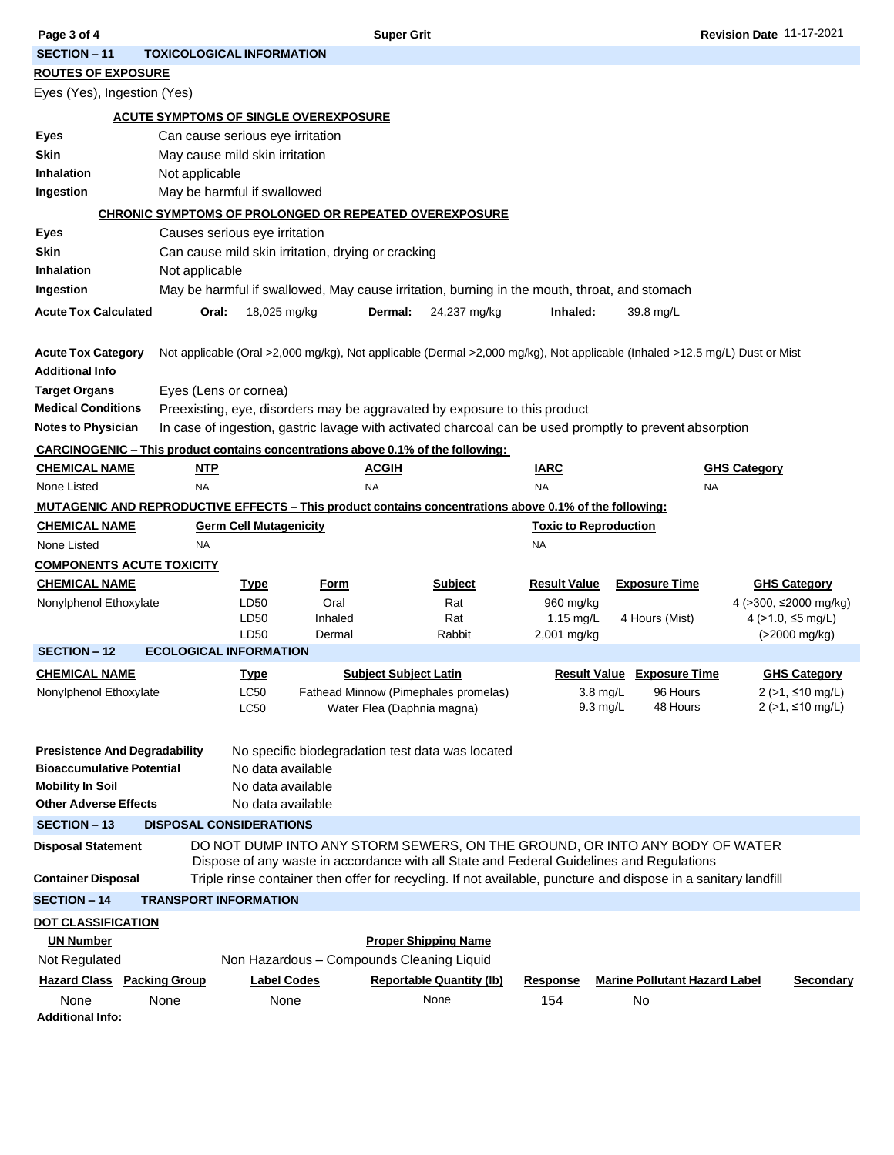| Page 3 of 4                                                                                              |                                  |                                                    | <b>Super Grit</b>            |                                                                                              | <b>Revision Date 11-17-2021</b> |                                                                                                                            |                                           |  |  |  |
|----------------------------------------------------------------------------------------------------------|----------------------------------|----------------------------------------------------|------------------------------|----------------------------------------------------------------------------------------------|---------------------------------|----------------------------------------------------------------------------------------------------------------------------|-------------------------------------------|--|--|--|
| <b>SECTION - 11</b>                                                                                      | <b>TOXICOLOGICAL INFORMATION</b> |                                                    |                              |                                                                                              |                                 |                                                                                                                            |                                           |  |  |  |
| <b>ROUTES OF EXPOSURE</b>                                                                                |                                  |                                                    |                              |                                                                                              |                                 |                                                                                                                            |                                           |  |  |  |
| Eyes (Yes), Ingestion (Yes)                                                                              |                                  |                                                    |                              |                                                                                              |                                 |                                                                                                                            |                                           |  |  |  |
|                                                                                                          |                                  | <b>ACUTE SYMPTOMS OF SINGLE OVEREXPOSURE</b>       |                              |                                                                                              |                                 |                                                                                                                            |                                           |  |  |  |
| Eyes                                                                                                     |                                  | Can cause serious eye irritation                   |                              |                                                                                              |                                 |                                                                                                                            |                                           |  |  |  |
| Skin                                                                                                     |                                  | May cause mild skin irritation                     |                              |                                                                                              |                                 |                                                                                                                            |                                           |  |  |  |
| Inhalation                                                                                               | Not applicable                   |                                                    |                              |                                                                                              |                                 |                                                                                                                            |                                           |  |  |  |
| Ingestion                                                                                                |                                  | May be harmful if swallowed                        |                              |                                                                                              |                                 |                                                                                                                            |                                           |  |  |  |
| CHRONIC SYMPTOMS OF PROLONGED OR REPEATED OVEREXPOSURE                                                   |                                  |                                                    |                              |                                                                                              |                                 |                                                                                                                            |                                           |  |  |  |
| Eyes                                                                                                     |                                  | Causes serious eye irritation                      |                              |                                                                                              |                                 |                                                                                                                            |                                           |  |  |  |
| Skin                                                                                                     |                                  | Can cause mild skin irritation, drying or cracking |                              |                                                                                              |                                 |                                                                                                                            |                                           |  |  |  |
| <b>Inhalation</b>                                                                                        | Not applicable                   |                                                    |                              |                                                                                              |                                 |                                                                                                                            |                                           |  |  |  |
| Ingestion                                                                                                |                                  |                                                    |                              | May be harmful if swallowed, May cause irritation, burning in the mouth, throat, and stomach |                                 |                                                                                                                            |                                           |  |  |  |
| <b>Acute Tox Calculated</b>                                                                              | Oral:                            | 18,025 mg/kg                                       | Dermal:                      | 24,237 mg/kg                                                                                 | Inhaled:                        | 39.8 mg/L                                                                                                                  |                                           |  |  |  |
|                                                                                                          |                                  |                                                    |                              |                                                                                              |                                 |                                                                                                                            |                                           |  |  |  |
| <b>Acute Tox Category</b>                                                                                |                                  |                                                    |                              |                                                                                              |                                 | Not applicable (Oral >2,000 mg/kg), Not applicable (Dermal >2,000 mg/kg), Not applicable (Inhaled >12.5 mg/L) Dust or Mist |                                           |  |  |  |
| <b>Additional Info</b><br><b>Target Organs</b>                                                           |                                  |                                                    |                              |                                                                                              |                                 |                                                                                                                            |                                           |  |  |  |
| <b>Medical Conditions</b>                                                                                | Eyes (Lens or cornea)            |                                                    |                              | Preexisting, eye, disorders may be aggravated by exposure to this product                    |                                 |                                                                                                                            |                                           |  |  |  |
| <b>Notes to Physician</b>                                                                                |                                  |                                                    |                              |                                                                                              |                                 | In case of ingestion, gastric lavage with activated charcoal can be used promptly to prevent absorption                    |                                           |  |  |  |
| CARCINOGENIC – This product contains concentrations above 0.1% of the following:                         |                                  |                                                    |                              |                                                                                              |                                 |                                                                                                                            |                                           |  |  |  |
| <b>CHEMICAL NAME</b>                                                                                     | <b>NTP</b>                       |                                                    | <b>ACGIH</b>                 |                                                                                              | <b>IARC</b>                     |                                                                                                                            | <b>GHS Category</b>                       |  |  |  |
| None Listed                                                                                              | <b>NA</b>                        |                                                    | <b>NA</b>                    |                                                                                              | <b>NA</b>                       | <b>NA</b>                                                                                                                  |                                           |  |  |  |
| MUTAGENIC AND REPRODUCTIVE EFFECTS – This product contains concentrations above 0.1% of the following:   |                                  |                                                    |                              |                                                                                              |                                 |                                                                                                                            |                                           |  |  |  |
| <b>CHEMICAL NAME</b>                                                                                     |                                  | <b>Germ Cell Mutagenicity</b>                      |                              |                                                                                              | <b>Toxic to Reproduction</b>    |                                                                                                                            |                                           |  |  |  |
| None Listed                                                                                              | <b>NA</b>                        |                                                    |                              |                                                                                              | NA                              |                                                                                                                            |                                           |  |  |  |
| <b>COMPONENTS ACUTE TOXICITY</b>                                                                         |                                  |                                                    |                              |                                                                                              |                                 |                                                                                                                            |                                           |  |  |  |
| <b>CHEMICAL NAME</b>                                                                                     |                                  | <u>Type</u>                                        | <u>Form</u>                  | <b>Subject</b>                                                                               | <b>Result Value</b>             | <b>Exposure Time</b>                                                                                                       | <b>GHS Category</b>                       |  |  |  |
| Nonylphenol Ethoxylate                                                                                   |                                  | LD50                                               | Oral                         | Rat                                                                                          | 960 mg/kg                       |                                                                                                                            | 4 (>300, ≤2000 mg/kg)                     |  |  |  |
|                                                                                                          |                                  | LD <sub>50</sub>                                   | Inhaled                      | Rat                                                                                          | 1.15 mg/L                       | 4 Hours (Mist)                                                                                                             | 4 ( $>1.0$ , $\leq$ 5 mg/L)               |  |  |  |
| <b>SECTION - 12</b>                                                                                      | <b>ECOLOGICAL INFORMATION</b>    | LD <sub>50</sub>                                   | Dermal                       | Rabbit                                                                                       | 2,001 mg/kg                     |                                                                                                                            | (>2000 mg/kg)                             |  |  |  |
|                                                                                                          |                                  |                                                    |                              |                                                                                              |                                 |                                                                                                                            |                                           |  |  |  |
| <b>CHEMICAL NAME</b><br>Nonylphenol Ethoxylate                                                           |                                  | Type<br>LC50                                       | <b>Subject Subject Latin</b> | Fathead Minnow (Pimephales promelas)                                                         |                                 | <b>Result Value Exposure Time</b><br>$3.8$ mg/L<br>96 Hours                                                                | <b>GHS Category</b><br>$2$ (>1, ≤10 mg/L) |  |  |  |
|                                                                                                          |                                  | LC50                                               | Water Flea (Daphnia magna)   |                                                                                              |                                 | $9.3$ mg/L<br>48 Hours                                                                                                     | $2$ ( $>1$ , $\leq$ 10 mg/L)              |  |  |  |
|                                                                                                          |                                  |                                                    |                              |                                                                                              |                                 |                                                                                                                            |                                           |  |  |  |
| <b>Presistence And Degradability</b>                                                                     |                                  | No specific biodegradation test data was located   |                              |                                                                                              |                                 |                                                                                                                            |                                           |  |  |  |
| <b>Bioaccumulative Potential</b>                                                                         |                                  | No data available                                  |                              |                                                                                              |                                 |                                                                                                                            |                                           |  |  |  |
| <b>Mobility In Soil</b><br>No data available                                                             |                                  |                                                    |                              |                                                                                              |                                 |                                                                                                                            |                                           |  |  |  |
| <b>Other Adverse Effects</b>                                                                             |                                  | No data available                                  |                              |                                                                                              |                                 |                                                                                                                            |                                           |  |  |  |
| <b>DISPOSAL CONSIDERATIONS</b><br><b>SECTION - 13</b>                                                    |                                  |                                                    |                              |                                                                                              |                                 |                                                                                                                            |                                           |  |  |  |
| DO NOT DUMP INTO ANY STORM SEWERS, ON THE GROUND, OR INTO ANY BODY OF WATER<br><b>Disposal Statement</b> |                                  |                                                    |                              |                                                                                              |                                 |                                                                                                                            |                                           |  |  |  |
| Dispose of any waste in accordance with all State and Federal Guidelines and Regulations                 |                                  |                                                    |                              |                                                                                              |                                 |                                                                                                                            |                                           |  |  |  |
| <b>Container Disposal</b>                                                                                |                                  |                                                    |                              |                                                                                              |                                 | Triple rinse container then offer for recycling. If not available, puncture and dispose in a sanitary landfill             |                                           |  |  |  |
| <b>SECTION - 14</b>                                                                                      | <b>TRANSPORT INFORMATION</b>     |                                                    |                              |                                                                                              |                                 |                                                                                                                            |                                           |  |  |  |
| <b>DOT CLASSIFICATION</b>                                                                                |                                  |                                                    |                              |                                                                                              |                                 |                                                                                                                            |                                           |  |  |  |
| <b>UN Number</b>                                                                                         |                                  |                                                    |                              | <b>Proper Shipping Name</b>                                                                  |                                 |                                                                                                                            |                                           |  |  |  |
| Not Regulated                                                                                            |                                  |                                                    |                              |                                                                                              |                                 |                                                                                                                            |                                           |  |  |  |
|                                                                                                          |                                  | Non Hazardous - Compounds Cleaning Liquid          |                              |                                                                                              |                                 |                                                                                                                            |                                           |  |  |  |
| <b>Hazard Class</b> Packing Group                                                                        |                                  | <b>Label Codes</b>                                 |                              | <b>Reportable Quantity (Ib)</b>                                                              | Response                        | <b>Marine Pollutant Hazard Label</b>                                                                                       | <b>Secondary</b>                          |  |  |  |
| None<br><b>Additional Info:</b>                                                                          | None                             | None                                               |                              | None                                                                                         | 154                             | No                                                                                                                         |                                           |  |  |  |